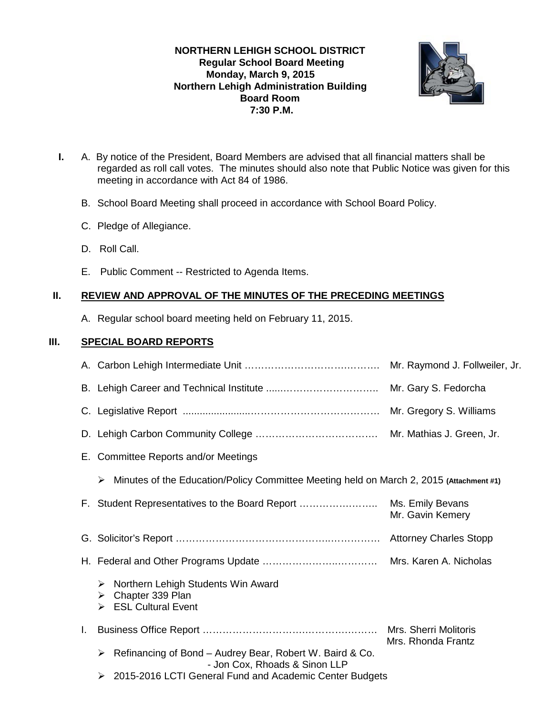## **NORTHERN LEHIGH SCHOOL DISTRICT Regular School Board Meeting Monday, March 9, 2015 Northern Lehigh Administration Building Board Room 7:30 P.M.**



- **I.** A. By notice of the President, Board Members are advised that all financial matters shall be regarded as roll call votes. The minutes should also note that Public Notice was given for this meeting in accordance with Act 84 of 1986.
	- B. School Board Meeting shall proceed in accordance with School Board Policy.
	- C. Pledge of Allegiance.
	- D. Roll Call.
	- E. Public Comment -- Restricted to Agenda Items.

# **II. REVIEW AND APPROVAL OF THE MINUTES OF THE PRECEDING MEETINGS**

A. Regular school board meeting held on February 11, 2015.

# **III. SPECIAL BOARD REPORTS**

|    |                                                                                                    | Mr. Gary S. Fedorcha                        |  |  |
|----|----------------------------------------------------------------------------------------------------|---------------------------------------------|--|--|
|    |                                                                                                    |                                             |  |  |
|    |                                                                                                    |                                             |  |  |
|    | E. Committee Reports and/or Meetings                                                               |                                             |  |  |
|    | Minutes of the Education/Policy Committee Meeting held on March 2, 2015 (Attachment #1)<br>➤       |                                             |  |  |
|    | F. Student Representatives to the Board Report                                                     | Ms. Emily Bevans<br>Mr. Gavin Kemery        |  |  |
|    |                                                                                                    |                                             |  |  |
|    |                                                                                                    |                                             |  |  |
|    | Northern Lehigh Students Win Award<br>➤<br>Chapter 339 Plan<br>➤<br><b>ESL Cultural Event</b><br>➤ |                                             |  |  |
| L. |                                                                                                    | Mrs. Sherri Molitoris<br>Mrs. Rhonda Frantz |  |  |
|    | Refinancing of Bond - Audrey Bear, Robert W. Baird & Co.<br>➤<br>- Jon Cox, Rhoads & Sinon LLP     |                                             |  |  |
|    | 2015-2016 LCTI General Fund and Academic Center Budgets<br>➤                                       |                                             |  |  |
|    |                                                                                                    |                                             |  |  |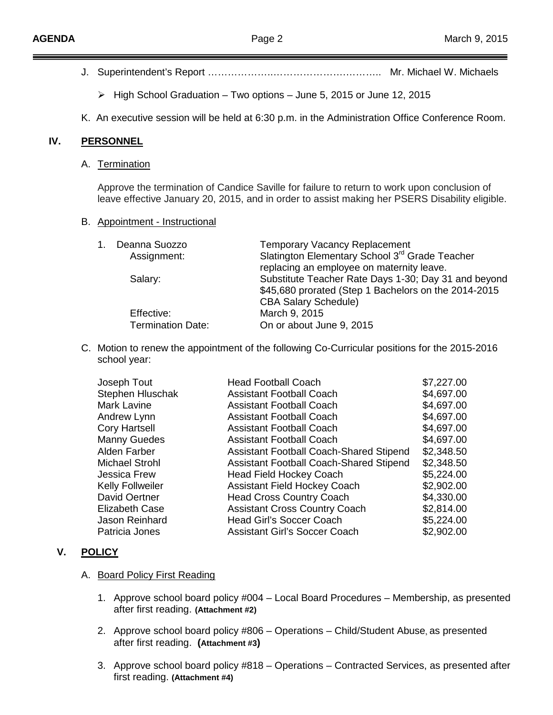|     | High School Graduation - Two options - June 5, 2015 or June 12, 2015<br>➤                                                                                                                     |                                               |                                                                                                                                                                                                                                                                 |  |  |
|-----|-----------------------------------------------------------------------------------------------------------------------------------------------------------------------------------------------|-----------------------------------------------|-----------------------------------------------------------------------------------------------------------------------------------------------------------------------------------------------------------------------------------------------------------------|--|--|
|     | K. An executive session will be held at 6:30 p.m. in the Administration Office Conference Room.                                                                                               |                                               |                                                                                                                                                                                                                                                                 |  |  |
| IV. | <b>PERSONNEL</b><br>A. Termination                                                                                                                                                            |                                               |                                                                                                                                                                                                                                                                 |  |  |
|     |                                                                                                                                                                                               |                                               |                                                                                                                                                                                                                                                                 |  |  |
|     | Approve the termination of Candice Saville for failure to return to work upon conclusion of<br>leave effective January 20, 2015, and in order to assist making her PSERS Disability eligible. |                                               |                                                                                                                                                                                                                                                                 |  |  |
|     | B. Appointment - Instructional                                                                                                                                                                |                                               |                                                                                                                                                                                                                                                                 |  |  |
|     |                                                                                                                                                                                               | Deanna Suozzo<br>1.<br>Assignment:<br>Salary: | <b>Temporary Vacancy Replacement</b><br>Slatington Elementary School 3 <sup>rd</sup> Grade Teacher<br>replacing an employee on maternity leave.<br>Substitute Teacher Rate Days 1-30; Day 31 and beyond<br>\$45,680 prorated (Step 1 Bachelors on the 2014-2015 |  |  |
|     |                                                                                                                                                                                               | Effective:<br><b>Termination Date:</b>        | <b>CBA Salary Schedule)</b><br>March 9, 2015<br>On or about June 9, 2015                                                                                                                                                                                        |  |  |
|     | C. Motion to renew the appointment of the following Co-Curricular positions for the 2015-2016<br>school year:                                                                                 |                                               |                                                                                                                                                                                                                                                                 |  |  |
|     | <b>Head Football Coach</b><br>Joseph Tout<br>\$7,227.00<br>$A$ $C$ $A$ $D$<br>Clarkan Ulusahal<br>Assistant Fasthall Casab                                                                    |                                               |                                                                                                                                                                                                                                                                 |  |  |

| Joseph Tout             | Head Football Coach                            | \$7,227.00 |
|-------------------------|------------------------------------------------|------------|
| Stephen Hluschak        | <b>Assistant Football Coach</b>                | \$4,697.00 |
| Mark Lavine             | <b>Assistant Football Coach</b>                | \$4,697.00 |
| Andrew Lynn             | <b>Assistant Football Coach</b>                | \$4,697.00 |
| <b>Cory Hartsell</b>    | <b>Assistant Football Coach</b>                | \$4,697.00 |
| <b>Manny Guedes</b>     | <b>Assistant Football Coach</b>                | \$4,697.00 |
| Alden Farber            | <b>Assistant Football Coach-Shared Stipend</b> | \$2,348.50 |
| <b>Michael Strohl</b>   | <b>Assistant Football Coach-Shared Stipend</b> | \$2,348.50 |
| <b>Jessica Frew</b>     | <b>Head Field Hockey Coach</b>                 | \$5,224.00 |
| <b>Kelly Follweiler</b> | <b>Assistant Field Hockey Coach</b>            | \$2,902.00 |
| David Oertner           | <b>Head Cross Country Coach</b>                | \$4,330.00 |
| <b>Elizabeth Case</b>   | <b>Assistant Cross Country Coach</b>           | \$2,814.00 |
| Jason Reinhard          | <b>Head Girl's Soccer Coach</b>                | \$5,224.00 |
| Patricia Jones          | <b>Assistant Girl's Soccer Coach</b>           | \$2,902.00 |
|                         |                                                |            |

### **V. POLICY**

#### A. Board Policy First Reading

- 1. Approve school board policy #004 Local Board Procedures Membership, as presented after first reading. **(Attachment #2)**
- 2. Approve school board policy #806 Operations Child/Student Abuse, as presented after first reading. **(Attachment #3)**
- 3. Approve school board policy #818 Operations Contracted Services, as presented after first reading. **(Attachment #4)**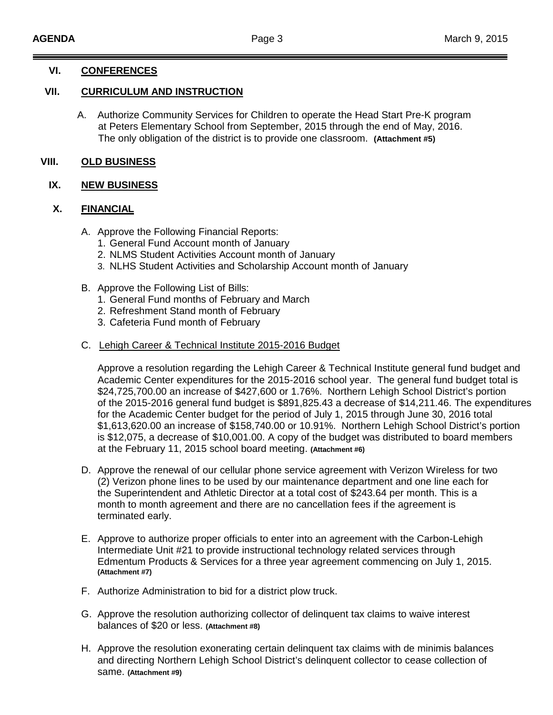### **VI. CONFERENCES**

### **VII. CURRICULUM AND INSTRUCTION**

A. Authorize Community Services for Children to operate the Head Start Pre-K program at Peters Elementary School from September, 2015 through the end of May, 2016. The only obligation of the district is to provide one classroom. **(Attachment #5)**

### **VIII. OLD BUSINESS**

#### **IX. NEW BUSINESS**

## **X. FINANCIAL**

- A. Approve the Following Financial Reports:
	- 1. General Fund Account month of January
	- 2. NLMS Student Activities Account month of January
	- 3. NLHS Student Activities and Scholarship Account month of January
- B. Approve the Following List of Bills:
	- 1. General Fund months of February and March
	- 2. Refreshment Stand month of February
	- 3. Cafeteria Fund month of February

## C. Lehigh Career & Technical Institute 2015-2016 Budget

Approve a resolution regarding the Lehigh Career & Technical Institute general fund budget and Academic Center expenditures for the 2015-2016 school year. The general fund budget total is \$24,725,700.00 an increase of \$427,600 or 1.76%. Northern Lehigh School District's portion of the 2015-2016 general fund budget is \$891,825.43 a decrease of \$14,211.46. The expenditures for the Academic Center budget for the period of July 1, 2015 through June 30, 2016 total \$1,613,620.00 an increase of \$158,740.00 or 10.91%. Northern Lehigh School District's portion is \$12,075, a decrease of \$10,001.00. A copy of the budget was distributed to board members at the February 11, 2015 school board meeting. **(Attachment #6)**

- D. Approve the renewal of our cellular phone service agreement with Verizon Wireless for two (2) Verizon phone lines to be used by our maintenance department and one line each for the Superintendent and Athletic Director at a total cost of \$243.64 per month. This is a month to month agreement and there are no cancellation fees if the agreement is terminated early.
- E. Approve to authorize proper officials to enter into an agreement with the Carbon-Lehigh Intermediate Unit #21 to provide instructional technology related services through Edmentum Products & Services for a three year agreement commencing on July 1, 2015. **(Attachment #7)**
- F. Authorize Administration to bid for a district plow truck.
- G. Approve the resolution authorizing collector of delinquent tax claims to waive interest balances of \$20 or less. **(Attachment #8)**
- H. Approve the resolution exonerating certain delinquent tax claims with de minimis balances and directing Northern Lehigh School District's delinquent collector to cease collection of same. **(Attachment #9)**